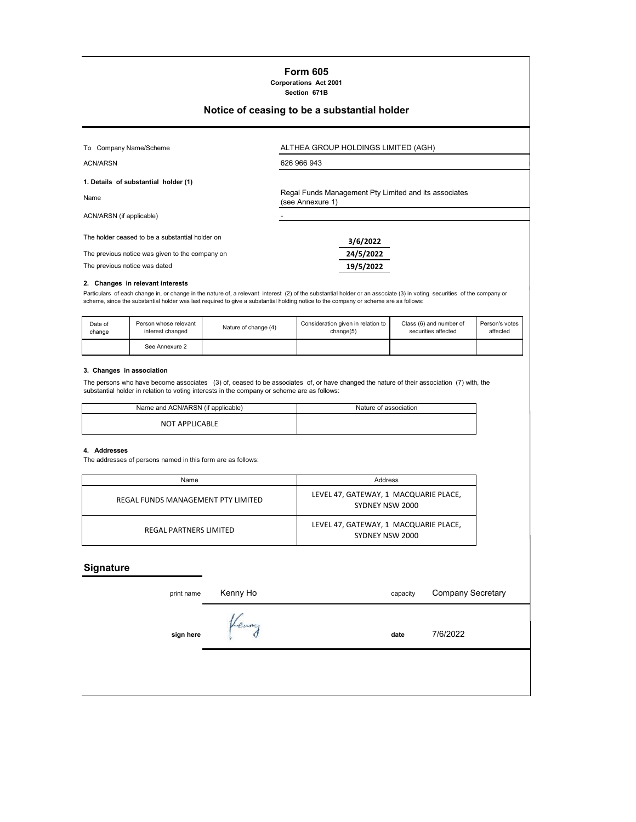### **Form 605 Corporations Act 2001**

**Section 671B**

# **Notice of ceasing to be a substantial holder**

| To Company Name/Scheme                          | ALTHEA GROUP HOLDINGS LIMITED (AGH)                                       |  |  |  |
|-------------------------------------------------|---------------------------------------------------------------------------|--|--|--|
| <b>ACN/ARSN</b>                                 | 626 966 943                                                               |  |  |  |
| 1. Details of substantial holder (1)            |                                                                           |  |  |  |
| Name                                            | Regal Funds Management Pty Limited and its associates<br>(see Annexure 1) |  |  |  |
| ACN/ARSN (if applicable)                        |                                                                           |  |  |  |
| The holder ceased to be a substantial holder on | 3/6/2022                                                                  |  |  |  |

The previous notice was given to the company on **24/5/2022**

The previous notice was dated **19/5/2022**

## **2. Changes in relevant interests**

Particulars of each change in, or change in the nature of, a relevant interest (2) of the substantial holder or an associate (3) in voting securities of the company or<br>scheme, since the substantial holder was last req

| Date of | Person whose relevant | Nature of change (4) | Consideration given in relation to | Class (6) and number of | Person's votes |
|---------|-----------------------|----------------------|------------------------------------|-------------------------|----------------|
| change  | interest changed      |                      | chanae(5)                          | securities affected     | affected       |
|         | See Annexure 2        |                      |                                    |                         |                |

### **3. Changes in association**

The persons who have become associates (3) of, ceased to be associates of, or have changed the nature of their association (7) with, the substantial holder in relation to voting interests in the company or scheme are as follows:

| Name and ACN/ARSN (if applicable) | Nature of association |
|-----------------------------------|-----------------------|
| <b>NOT APPLICABLE</b>             |                       |

#### **4. Addresses**

The addresses of persons named in this form are as follows:

| Name                               | Address                                                  |  |  |
|------------------------------------|----------------------------------------------------------|--|--|
| REGAL FUNDS MANAGEMENT PTY LIMITED | LEVEL 47, GATEWAY, 1 MACQUARIE PLACE,<br>SYDNEY NSW 2000 |  |  |
| REGAL PARTNERS LIMITED             | LEVEL 47, GATEWAY, 1 MACQUARIE PLACE,<br>SYDNEY NSW 2000 |  |  |

# **Signature**

| print name | Kenny Ho | capacity | <b>Company Secretary</b> |
|------------|----------|----------|--------------------------|
| sign here  | Kenny    | date     | 7/6/2022                 |
|            |          |          |                          |